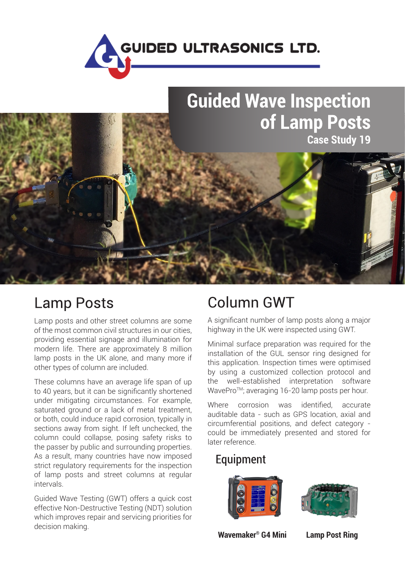

# **Guided Wave Inspection** of Lamp Posts **Case Study 19**



### **Lamp Posts**

Lamp posts and other street columns are some of the most common civil structures in our cities, providing essential signage and illumination for modern life. There are approximately 8 million lamp posts in the UK alone, and many more if other types of column are included.

These columns have an average life span of up to 40 years, but it can be significantly shortened under mitigating circumstances. For example, saturated ground or a lack of metal treatment, or both, could induce rapid corrosion, typically in sections away from sight. If left unchecked, the column could collapse, posing safety risks to the passer by public and surrounding properties. As a result, many countries have now imposed strict regulatory requirements for the inspection of lamp posts and street columns at regular intervals.

Guided Wave Testing (GWT) offers a quick cost effective Non-Destructive Testing (NDT) solution which improves repair and servicing priorities for decision making.

## **Column GWT**

A significant number of lamp posts along a major highway in the UK were inspected using GWT.

Minimal surface preparation was required for the installation of the GUL sensor ring designed for this application. Inspection times were optimised by using a customized collection protocol and the well‑established interpretation software WavePro™; averaging 16-20 lamp posts per hour.

Where corrosion was identified, accurate auditable data - such as GPS location, axial and circumferential positions, and defect category could be immediately presented and stored for later reference.

### Equipment





**Wavemaker<sup>®</sup> G4 Mini** Lamp Post Ring